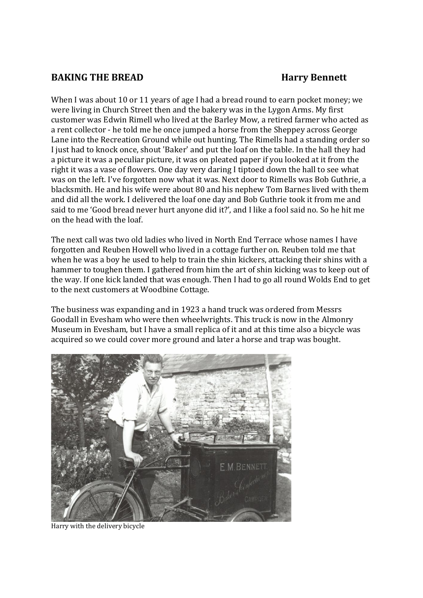## **BAKING THE BREAD Harry Bennett**

When I was about 10 or 11 years of age I had a bread round to earn pocket money; we were living in Church Street then and the bakery was in the Lygon Arms. My first customer was Edwin Rimell who lived at the Barley Mow, a retired farmer who acted as a rent collector - he told me he once jumped a horse from the Sheppey across George Lane into the Recreation Ground while out hunting. The Rimells had a standing order so I just had to knock once, shout 'Baker' and put the loaf on the table. In the hall they had a picture it was a peculiar picture, it was on pleated paper if you looked at it from the right it was a vase of flowers. One day very daring I tiptoed down the hall to see what was on the left. I've forgotten now what it was. Next door to Rimells was Bob Guthrie, a blacksmith. He and his wife were about 80 and his nephew Tom Barnes lived with them and did all the work. I delivered the loaf one day and Bob Guthrie took it from me and said to me 'Good bread never hurt anyone did it?', and I like a fool said no. So he hit me on the head with the loaf.

The next call was two old ladies who lived in North End Terrace whose names I have forgotten and Reuben Howell who lived in a cottage further on. Reuben told me that when he was a boy he used to help to train the shin kickers, attacking their shins with a hammer to toughen them. I gathered from him the art of shin kicking was to keep out of the way. If one kick landed that was enough. Then I had to go all round Wolds End to get to the next customers at Woodbine Cottage.

The business was expanding and in 1923 a hand truck was ordered from Messrs Goodall in Evesham who were then wheelwrights. This truck is now in the Almonry Museum in Evesham, but I have a small replica of it and at this time also a bicycle was acquired so we could cover more ground and later a horse and trap was bought.



Harry with the delivery bicycle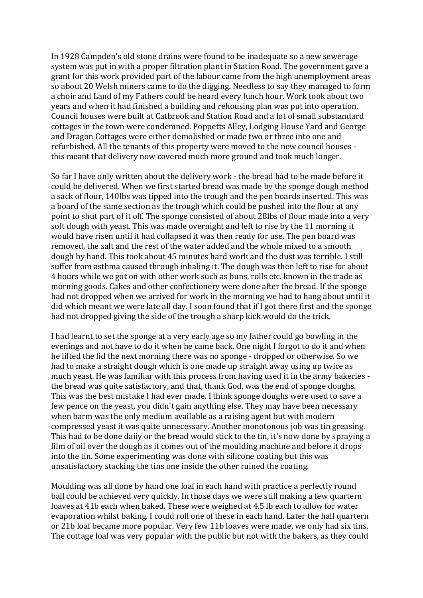In 1928 Campden's old stone drains were found to be inadequate so a new sewerage system was put in with a proper filtration plant in Station Road. The government gave a grant for this work provided part of the labour came from the high unemployment areas so about 20 Welsh miners came to do the digging. Needless to say they managed to form a choir and Land of my Fathers could be heard every lunch hour. Work took about two years and when it had finished a building and rehousing plan was put into operation. Council houses were built at Catbrook and Station Road and a lot of small substandard cottages in the town were condemned. Poppetts Alley, Lodging House Yard and George and Dragon Cottages were either demolished or made two or three into one and refurbished. All the tenants of this property were moved to the new council houses this meant that delivery now covered much more ground and took much longer.

So far I have only written about the delivery work - the bread had to be made before it could be delivered. When we first started bread was made by the sponge dough method a sack of flour, 140lbs was tipped into the trough and the pen boards inserted. This was a board of the same section as the trough which could be pushed into the flour at any point to shut part of it off. The sponge consisted of about 28lbs of flour made into a very soft dough with yeast. This was made overnight and left to rise by the 11 morning it would have risen until it had collapsed it was then ready for use. The pen board was removed, the salt and the rest of the water added and the whole mixed to a smooth dough by hand. This took about 45 minutes hard work and the dust was terrible. I still suffer from asthma caused through inhaling it. The dough was then left to rise for about 4 hours while we got on with other work such as buns, rolls etc. known in the trade as morning goods. Cakes and other confectionery were done after the bread. If the sponge had not dropped when we arrived for work in the morning we had to hang about until it did which meant we were late all day. I soon found that if I got there first and the sponge had not dropped giving the side of the trough a sharp kick would do the trick.

I had learnt to set the sponge at a very early age so my father could go bowling in the evenings and not have to do it when he came back. One night I forgot to do it and when he lifted the lid the next morning there was no sponge - dropped or otherwise. So we had to make a straight dough which is one made up straight away using up twice as much yeast. He was familiar with this process from having used it in the army bakeries the bread was quite satisfactory, and that, thank God, was the end of sponge doughs. This was the best mistake I had ever made. I think sponge doughs were used to save a few pence on the yeast, you didn't gain anything else. They may have been necessary when barm was the only medium available as a raising agent but with modern compressed yeast it was quite unnecessary. Another monotonous job was tin greasing. This had to be done daiiy or the bread would stick to the tin, it's now done by spraying a film of oil over the dough as it comes out of the moulding machine and before it drops into the tin. Some experimenting was done with silicone coating but this was unsatisfactory stacking the tins one inside the other ruined the coating.

Moulding was all done by hand one loaf in each hand with practice a perfectly round ball could be achieved very quickly. In those days we were still making a few quartern loaves at 41b each when baked. These were weighed at 4.5 lb each to allow for water evaporation whilst baking. I could roll one of these in each hand. Later the half quartern or 21b loaf became more popular. Very few 11b loaves were made, we only had six tins. The cottage loaf was very popular with the public but not with the bakers, as they could